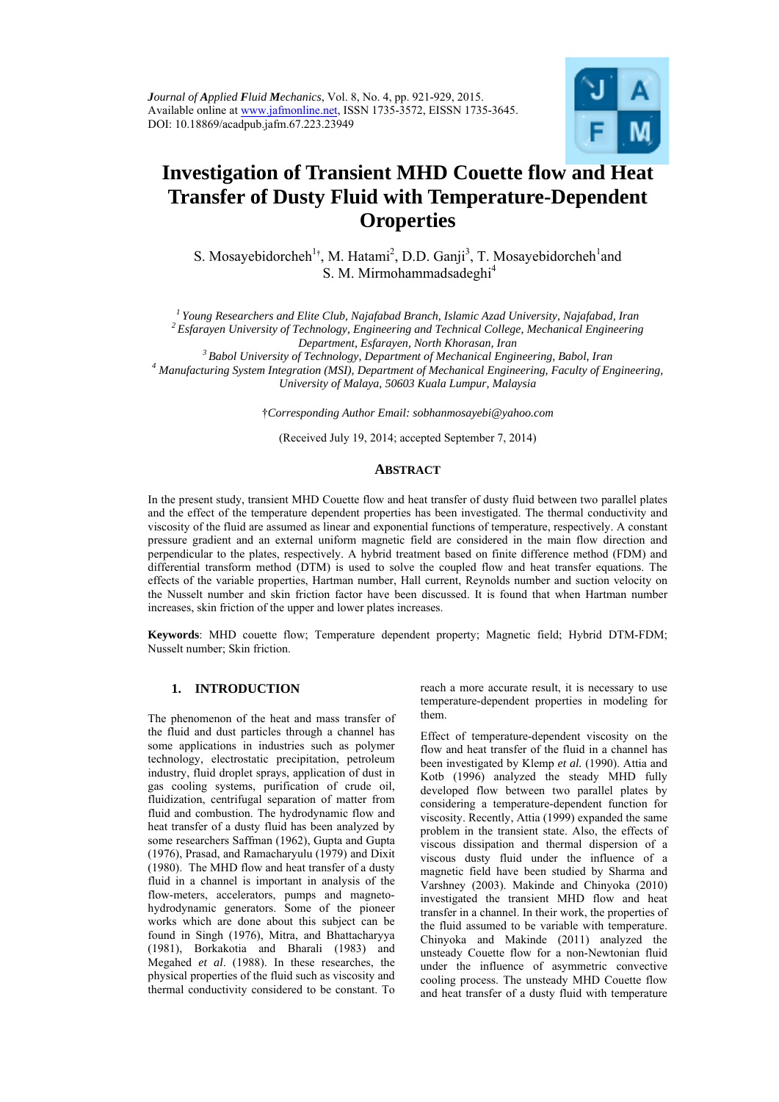

# **Investigation of Transient MHD Couette flow and Heat Transfer of Dusty Fluid with Temperature-Dependent Oroperties**

S. Mosayebidorcheh<sup>1</sup><sup>†</sup>, M. Hatami<sup>2</sup>, D.D. Ganji<sup>3</sup>, T. Mosayebidorcheh<sup>1</sup>and S. M. Mirmohammadsadeghi<sup>4</sup>

*1 Young Researchers and Elite Club, Najafabad Branch, Islamic Azad University, Najafabad, Iran 2 Esfarayen University of Technology, Engineering and Technical College, Mechanical Engineering* 

*Department, Esfarayen, North Khorasan, Iran 3 Babol University of Technology, Department of Mechanical Engineering, Babol, Iran 4*

 *Manufacturing System Integration (MSI), Department of Mechanical Engineering, Faculty of Engineering, University of Malaya, 50603 Kuala Lumpur, Malaysia* 

†*Corresponding Author Email: sobhanmosayebi@yahoo.com* 

(Received July 19, 2014; accepted September 7, 2014)

## **ABSTRACT**

In the present study, transient MHD Couette flow and heat transfer of dusty fluid between two parallel plates and the effect of the temperature dependent properties has been investigated. The thermal conductivity and viscosity of the fluid are assumed as linear and exponential functions of temperature, respectively. A constant pressure gradient and an external uniform magnetic field are considered in the main flow direction and perpendicular to the plates, respectively. A hybrid treatment based on finite difference method (FDM) and differential transform method (DTM) is used to solve the coupled flow and heat transfer equations. The effects of the variable properties, Hartman number, Hall current, Reynolds number and suction velocity on the Nusselt number and skin friction factor have been discussed. It is found that when Hartman number increases, skin friction of the upper and lower plates increases.

**Keywords**: MHD couette flow; Temperature dependent property; Magnetic field; Hybrid DTM-FDM; Nusselt number; Skin friction.

# **1. INTRODUCTION**

The phenomenon of the heat and mass transfer of the fluid and dust particles through a channel has some applications in industries such as polymer technology, electrostatic precipitation, petroleum industry, fluid droplet sprays, application of dust in gas cooling systems, purification of crude oil, fluidization, centrifugal separation of matter from fluid and combustion. The hydrodynamic flow and heat transfer of a dusty fluid has been analyzed by some researchers Saffman (1962), Gupta and Gupta (1976), Prasad, and Ramacharyulu (1979) and Dixit (1980). The MHD flow and heat transfer of a dusty fluid in a channel is important in analysis of the flow-meters, accelerators, pumps and magnetohydrodynamic generators. Some of the pioneer works which are done about this subject can be found in Singh (1976), Mitra, and Bhattacharyya (1981), Borkakotia and Bharali (1983) and Megahed *et al*. (1988). In these researches, the physical properties of the fluid such as viscosity and thermal conductivity considered to be constant. To reach a more accurate result, it is necessary to use temperature-dependent properties in modeling for them.

Effect of temperature-dependent viscosity on the flow and heat transfer of the fluid in a channel has been investigated by Klemp *et al.* (1990). Attia and Kotb (1996) analyzed the steady MHD fully developed flow between two parallel plates by considering a temperature-dependent function for viscosity. Recently, Attia (1999) expanded the same problem in the transient state. Also, the effects of viscous dissipation and thermal dispersion of a viscous dusty fluid under the influence of a magnetic field have been studied by Sharma and Varshney (2003). Makinde and Chinyoka (2010) investigated the transient MHD flow and heat transfer in a channel. In their work, the properties of the fluid assumed to be variable with temperature. Chinyoka and Makinde (2011) analyzed the unsteady Couette flow for a non-Newtonian fluid under the influence of asymmetric convective cooling process. The unsteady MHD Couette flow and heat transfer of a dusty fluid with temperature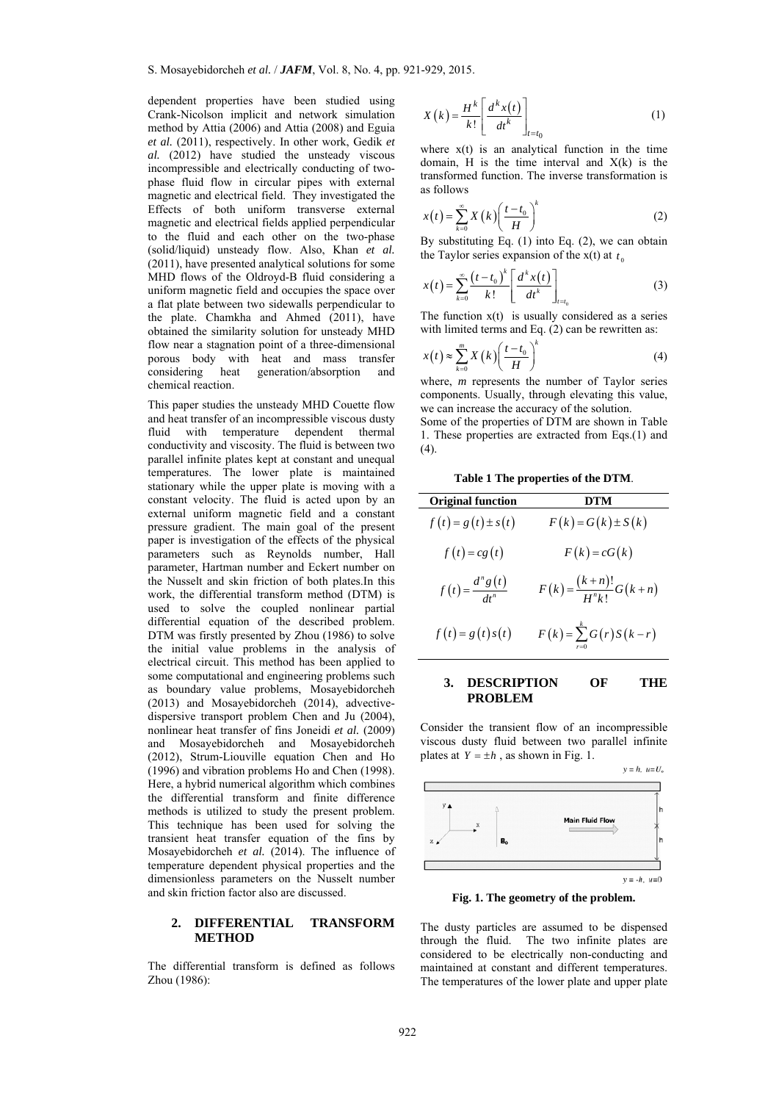dependent properties have been studied using Crank-Nicolson implicit and network simulation method by Attia (2006) and Attia (2008) and Eguia *et al.* (2011), respectively. In other work, Gedik *et al.* (2012) have studied the unsteady viscous incompressible and electrically conducting of twophase fluid flow in circular pipes with external magnetic and electrical field. They investigated the Effects of both uniform transverse external magnetic and electrical fields applied perpendicular to the fluid and each other on the two-phase (solid/liquid) unsteady flow. Also, Khan *et al.* (2011), have presented analytical solutions for some MHD flows of the Oldroyd-B fluid considering a uniform magnetic field and occupies the space over a flat plate between two sidewalls perpendicular to the plate. Chamkha and Ahmed (2011), have obtained the similarity solution for unsteady MHD flow near a stagnation point of a three-dimensional porous body with heat and mass transfer considering heat generation/absorption and chemical reaction.

This paper studies the unsteady MHD Couette flow and heat transfer of an incompressible viscous dusty fluid with temperature dependent thermal conductivity and viscosity. The fluid is between two parallel infinite plates kept at constant and unequal temperatures. The lower plate is maintained stationary while the upper plate is moving with a constant velocity. The fluid is acted upon by an external uniform magnetic field and a constant pressure gradient. The main goal of the present paper is investigation of the effects of the physical parameters such as Reynolds number, Hall parameter, Hartman number and Eckert number on the Nusselt and skin friction of both plates.In this work, the differential transform method (DTM) is used to solve the coupled nonlinear partial differential equation of the described problem. DTM was firstly presented by Zhou (1986) to solve the initial value problems in the analysis of electrical circuit. This method has been applied to some computational and engineering problems such as boundary value problems, Mosayebidorcheh (2013) and Mosayebidorcheh (2014), advectivedispersive transport problem Chen and Ju (2004), nonlinear heat transfer of fins Joneidi *et al.* (2009) and Mosayebidorcheh and Mosayebidorcheh (2012), Strum-Liouville equation Chen and Ho (1996) and vibration problems Ho and Chen (1998). Here, a hybrid numerical algorithm which combines the differential transform and finite difference methods is utilized to study the present problem. This technique has been used for solving the transient heat transfer equation of the fins by Mosayebidorcheh et al. (2014). The influence of temperature dependent physical properties and the dimensionless parameters on the Nusselt number and skin friction factor also are discussed.

## **2. DIFFERENTIAL TRANSFORM METHOD**

The differential transform is defined as follows Zhou (1986):

$$
X(k) = \frac{H^k}{k!} \left[ \frac{d^k x(t)}{dt^k} \right]_{t=t_0}
$$
 (1)

where  $x(t)$  is an analytical function in the time domain, H is the time interval and  $X(k)$  is the transformed function. The inverse transformation is as follows

$$
x(t) = \sum_{k=0}^{\infty} X(k) \left(\frac{t - t_0}{H}\right)^k
$$
 (2)

By substituting Eq.  $(1)$  into Eq.  $(2)$ , we can obtain the Taylor series expansion of the  $x(t)$  at  $t_0$ 

$$
x(t) = \sum_{k=0}^{\infty} \frac{(t - t_0)^k}{k!} \left[ \frac{d^k x(t)}{dt^k} \right]_{t = t_0}
$$
 (3)

The function  $x(t)$  is usually considered as a series with limited terms and Eq. (2) can be rewritten as:

$$
x(t) \approx \sum_{k=0}^{m} X(k) \left(\frac{t-t_0}{H}\right)^k
$$
 (4)

where, *m* represents the number of Taylor series components. Usually, through elevating this value, we can increase the accuracy of the solution.

Some of the properties of DTM are shown in Table 1. These properties are extracted from Eqs.(1) and (4).

**Table 1 The properties of the DTM**.

| <b>Original function</b>       | <b>DTM</b>                            |
|--------------------------------|---------------------------------------|
| $f(t) = g(t) \pm s(t)$         | $F(k) = G(k) \pm S(k)$                |
| $f(t) = cg(t)$                 | $F(k) = cG(k)$                        |
| $f(t) = \frac{d^n g(t)}{dt^n}$ | $F(k) = \frac{(k+n)!}{H^{n}k!}G(k+n)$ |
| $f(t) = g(t)s(t)$              | $F(k) = \sum_{n=1}^{k} G(r)S(k-r)$    |

## **3. DESCRIPTION OF THE PROBLEM**

Consider the transient flow of an incompressible viscous dusty fluid between two parallel infinite plates at  $Y = \pm h$ , as shown in Fig. 1.



**Fig. 1. The geometry of the problem.**

The dusty particles are assumed to be dispensed through the fluid. The two infinite plates are considered to be electrically non-conducting and maintained at constant and different temperatures. The temperatures of the lower plate and upper plate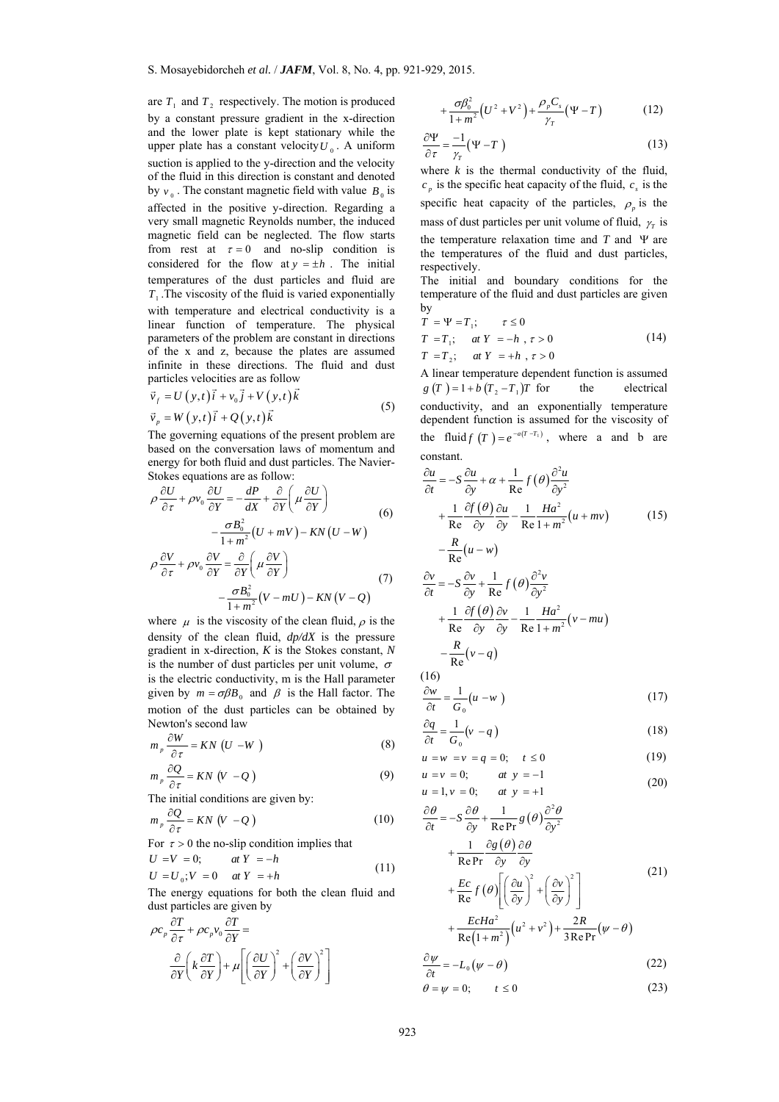are  $T_1$  and  $T_2$  respectively. The motion is produced by a constant pressure gradient in the x-direction and the lower plate is kept stationary while the upper plate has a constant velocity  $U_0$ . A uniform suction is applied to the y-direction and the velocity of the fluid in this direction is constant and denoted by  $v_0$ . The constant magnetic field with value  $B_0$  is affected in the positive y-direction. Regarding a very small magnetic Reynolds number, the induced magnetic field can be neglected. The flow starts from rest at  $\tau = 0$  and no-slip condition is considered for the flow at  $y = \pm h$ . The initial temperatures of the dust particles and fluid are  $T<sub>1</sub>$ . The viscosity of the fluid is varied exponentially with temperature and electrical conductivity is a linear function of temperature. The physical parameters of the problem are constant in directions of the x and z, because the plates are assumed infinite in these directions. The fluid and dust particles velocities are as follow

$$
\vec{v}_f = U(y,t)\vec{i} + v_0 \vec{j} + V(y,t)\vec{k} \n\vec{v}_p = W(y,t)\vec{i} + Q(y,t)\vec{k}
$$
\n(5)

The governing equations of the present problem are based on the conversation laws of momentum and energy for both fluid and dust particles. The Navier-Stokes equations are as follow:

$$
\rho \frac{\partial U}{\partial \tau} + \rho v_0 \frac{\partial U}{\partial Y} = -\frac{dP}{dX} + \frac{\partial}{\partial Y} \left( \mu \frac{\partial U}{\partial Y} \right)
$$
  

$$
- \frac{\sigma B_0^2}{1 + m^2} (U + mV) - KN (U - W)
$$
  

$$
\rho \frac{\partial V}{\partial Y} + \rho v_0 \frac{\partial V}{\partial Y} - \frac{\partial}{\partial Y} \left( \mu \frac{\partial V}{\partial Y} \right)
$$
 (6)

$$
\rho \frac{\partial V}{\partial \tau} + \rho v_0 \frac{\partial V}{\partial Y} = \frac{\partial}{\partial Y} \left( \mu \frac{\partial V}{\partial Y} \right) - \frac{\sigma B_0^2}{1 + m^2} (V - mU) - KN (V - Q)
$$
(7)

where  $\mu$  is the viscosity of the clean fluid,  $\rho$  is the density of the clean fluid, *dp/dX* is the pressure gradient in x-direction, *K* is the Stokes constant, *N* is the number of dust particles per unit volume,  $\sigma$ is the electric conductivity, m is the Hall parameter given by  $m = \sigma \beta B_0$  and  $\beta$  is the Hall factor. The motion of the dust particles can be obtained by Newton's second law

$$
m_p \frac{\partial W}{\partial \tau} = KN \left( U - W \right) \tag{8}
$$

$$
m_p \frac{\partial Q}{\partial \tau} = KN (V - Q)
$$
 (9)

The initial conditions are given by:

$$
m_p \frac{\partial Q}{\partial \tau} = KN \left( V - Q \right) \tag{10}
$$

For  $\tau > 0$  the no-slip condition implies that

$$
U = V = 0; \qquad at Y = -h
$$
  
\n
$$
U = U_0; V = 0 \quad at Y = +h
$$
\n(11)

The energy equations for both the clean fluid and dust particles are given by

$$
\rho c_p \frac{\partial T}{\partial \tau} + \rho c_p v_0 \frac{\partial T}{\partial Y} =
$$
  

$$
\frac{\partial}{\partial Y} \left( k \frac{\partial T}{\partial Y} \right) + \mu \left[ \left( \frac{\partial U}{\partial Y} \right)^2 + \left( \frac{\partial V}{\partial Y} \right)^2 \right]
$$

$$
+\frac{\sigma\beta_0^2}{1+m^2}\left(U^2+V^2\right)+\frac{\rho_p C_s}{\gamma_T}(\Psi-T)
$$
 (12)

$$
\frac{\partial \Psi}{\partial \tau} = \frac{-1}{\gamma_T} (\Psi - T) \tag{13}
$$

where  $k$  is the thermal conductivity of the fluid,  $c_p$  is the specific heat capacity of the fluid,  $c_s$  is the specific heat capacity of the particles,  $\rho$ <sub>p</sub> is the mass of dust particles per unit volume of fluid,  $\gamma$  is the temperature relaxation time and  $T$  and  $\Psi$  are the temperatures of the fluid and dust particles, respectively.

The initial and boundary conditions for the temperature of the fluid and dust particles are given by

$$
T = \Psi = T_1; \qquad \tau \le 0
$$
  
\n
$$
T = T_1; \qquad at \ Y = -h \ , \tau > 0
$$
  
\n
$$
T = T_2; \qquad at \ Y = +h \ , \tau > 0
$$
\n(14)

A linear temperature dependent function is assumed  $g(T) = 1 + b(T_2 - T_1)T$  for the electrical conductivity, and an exponentially temperature dependent function is assumed for the viscosity of the fluid  $f(T) = e^{-a(T-T_1)}$ , where a and b are constant.

$$
\frac{\partial u}{\partial t} = -S \frac{\partial u}{\partial y} + \alpha + \frac{1}{Re} f(\theta) \frac{\partial^2 u}{\partial y^2} \n+ \frac{1}{Re} \frac{\partial f(\theta)}{\partial y} \frac{\partial u}{\partial y} - \frac{1}{Re} \frac{Ha^2}{1 + m^2} (u + mv) \n- \frac{R}{Re} (u - w) \n\frac{\partial v}{\partial t} = -S \frac{\partial v}{\partial y} + \frac{1}{Re} f(\theta) \frac{\partial^2 v}{\partial y^2} \n+ \frac{1}{Re} \frac{\partial f(\theta)}{\partial y} \frac{\partial v}{\partial y} - \frac{1}{Re} \frac{Ha^2}{1 + m^2} (v - mu) \n- \frac{R}{Re} (v - q)
$$
\n(15)

(16)

$$
\frac{\partial w}{\partial t} = \frac{1}{G_0} \left( u - w \right) \tag{17}
$$

$$
\frac{\partial q}{\partial t} = \frac{1}{G_0} \left( v - q \right) \tag{18}
$$

$$
u = w = v = q = 0;
$$
  $t \le 0$  (19)  
 $u = v = 0;$  at  $y = -1$  (20)

1, 0; 1 *u v at y* (20)

$$
\frac{\partial \theta}{\partial t} = -S \frac{\partial \theta}{\partial y} + \frac{1}{\text{Re} \Pr} g(\theta) \frac{\partial^2 \theta}{\partial y^2} \n+ \frac{1}{\text{Re} \Pr} \frac{\partial g(\theta)}{\partial y} \frac{\partial \theta}{\partial y} \n+ \frac{Ec}{\text{Re} f(\theta) \left[ \left( \frac{\partial u}{\partial y} \right)^2 + \left( \frac{\partial v}{\partial y} \right)^2 \right]
$$
\n(21)

$$
+\frac{EcHa^2}{\text{Re}(1+m^2)}\left(u^2+v^2\right)+\frac{2R}{3\text{Re Pr}}\left(\psi-\theta\right)
$$

$$
\frac{\partial \psi}{\partial t} = -L_0 \left( \psi - \theta \right) \tag{22}
$$

$$
\theta = \psi = 0; \qquad t \le 0 \tag{23}
$$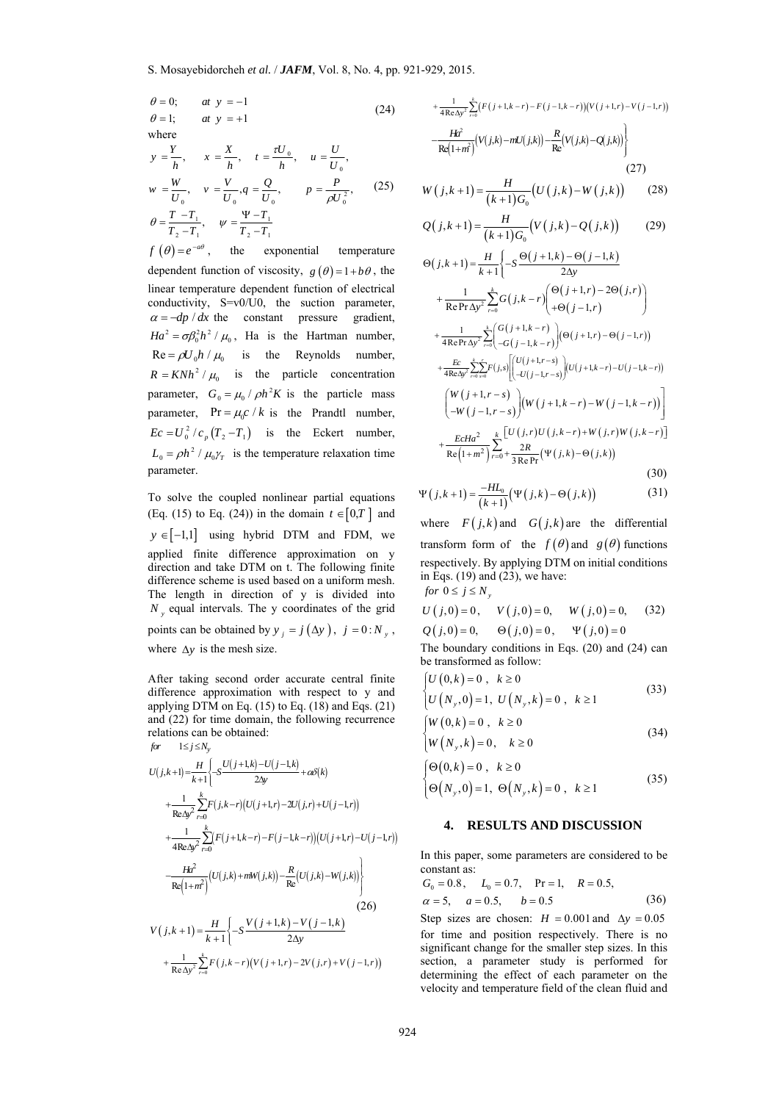$$
\theta = 0; \quad at \quad y = -1
$$
\n
$$
\theta = 1; \quad at \quad y = +1
$$
\nwhere\n
$$
y = \frac{Y}{h}, \quad x = \frac{X}{h}, \quad t = \frac{\tau U_0}{h}, \quad u = \frac{U}{U_0},
$$
\n
$$
w = \frac{W}{U_0}, \quad v = \frac{V}{U_0}, q = \frac{Q}{U_0}, \quad p = \frac{P}{\rho U_0^2}, \quad (25)
$$
\n
$$
\theta = \frac{T - T_1}{T_2 - T_1}, \quad \psi = \frac{\Psi - T_1}{T_2 - T_1}
$$
\n
$$
f(\theta) = e^{-\alpha\theta}, \quad \text{the exponential temperature}
$$

dependent function of viscosity,  $g(\theta) = 1 + b\theta$ , the linear temperature dependent function of electrical conductivity,  $S=v_0/v_0$ , the suction parameter,  $\alpha = -dp / dx$  the constant pressure gradient,  $Ha^2 = \sigma \beta_0^2 h^2 / \mu_0$ , Ha is the Hartman number,  $Re = \rho U_0 h / \mu_0$  is the Reynolds number,  $R = KNh^2 / \mu_0$  is the particle concentration parameter,  $G_0 = \mu_0 / \rho h^2 K$  is the particle mass parameter,  $Pr = \mu_0 c / k$  is the Prandtl number,  $Ec = U_0^2 / c_p (T_2 - T_1)$  is the Eckert number,  $L_0 = \rho h^2 / \mu_0 \gamma_T$  is the temperature relaxation time parameter.

To solve the coupled nonlinear partial equations (Eq. (15) to Eq. (24)) in the domain  $t \in [0, T]$  and  $y \in [-1,1]$  using hybrid DTM and FDM, we applied finite difference approximation on y direction and take DTM on t. The following finite difference scheme is used based on a uniform mesh. The length in direction of y is divided into *N y* equal intervals. The y coordinates of the grid points can be obtained by  $y_j = j(\Delta y)$ ,  $j = 0:N_y$ , where  $\Delta y$  is the mesh size.

After taking second order accurate central finite difference approximation with respect to y and applying DTM on Eq. (15) to Eq. (18) and Eqs. (21) and (22) for time domain, the following recurrence relations can be obtained:

for 
$$
1 \le j \le N_v
$$

$$
U(j,k+1) = \frac{H}{k+1} \Biggl\{ -S \frac{U(j+1,k) - U(j-1,k)}{2\Delta y} + \alpha \delta(k) + \frac{1}{\text{Re}\Delta y^2} \sum_{r=0}^k F(j,k-r) \big( U(j+1,r) - 2U(j,r) + U(j-1,r) \big) + \frac{1}{\text{Re}\Delta y^2} \sum_{r=0}^k \big( F(j+1,k-r) - F(j-1,k-r) \big) \big( U(j+1,r) - U(j-1,r) \big) - \frac{Hd^2}{\text{Re}(1+m^2)} \big( U(j,k) + mW(j,k) \big) - \frac{R}{\text{Re}} \big( U(j,k) - W(j,k) \big) \Biggr\}
$$
\n(26)

$$
V(j,k+1) = \frac{H}{k+1} \left\{ -S \frac{V(j+1,k) - V(j-1,k)}{2\Delta y} + \frac{1}{\text{Re}\Delta y^2} \sum_{r=0}^{k} F(j,k-r) (V(j+1,r) - 2V(j,r) + V(j-1,r)) \right\}
$$

$$
+\frac{1}{4\text{Re}\Delta y^{2}}\sum_{r=0}^{k}(F(j+1,k-r)-F(j-1,k-r))(V(j+1,r)-V(j-1,r))
$$

$$
-\frac{H\hat{d}}{\text{Re}(1+n\hat{t})}\left(V(j,k)-mU(j,k)\right)-\frac{R}{\text{Re}}(V(j,k)-Q(j,k))\Bigg\}
$$
(27)

$$
W(j,k+1) = \frac{H}{(k+1)G_0} (U(j,k) - W(j,k))
$$
 (28)

$$
Q(j,k+1) = \frac{H}{(k+1)G_0} (V(j,k) - Q(j,k))
$$
 (29)  

$$
\Theta(j,k+1) = \frac{H}{k+1} \left\{ -S \frac{\Theta(j+1,k) - \Theta(j-1,k)}{2\Delta y} \right\}
$$

$$
+\frac{1}{\text{RePr}\,\Delta y^2}\sum_{r=0}^{k}G(j,k-r)\left(\begin{matrix} \Theta(j+1,r)-2\Theta(j,r)\\+\Theta(j-1,r)\end{matrix}\right)\\+\frac{1}{4\,\text{RePr}\,\Delta y^2}\sum_{r=0}^{k}\left(\begin{matrix} G(j+1,k-r)\\-G(j-1,k-r)\end{matrix}\right)\left(\Theta(j+1,r)-\Theta(j-1,r)\right)\\+\frac{Ec}{4\,\text{Re}\,\Delta y^2}\sum_{r=0}^{k}\sum_{s=0}^{r}F(j,s)\left[\begin{matrix} U(j+1,r-s)\\-U(j-1,r-s)\end{matrix}\right)\left(U(j+1,k-r)-U(j-1,k-r)\right)\\-\frac{W(j+1,r-s)}{W(j-1,r-s)}\right)\left(W(j+1,k-r)-W(j-1,k-r)\right)\\+\frac{EcHa^2}{\text{Re}\,(1+m^2)}\sum_{r=0}^{k}\sum_{r=0}^{L}T\left(\Psi(j,k)-\Theta(j,k)\right)\end{matrix}
$$

$$
(30)
$$

$$
\Psi(j,k+1) = \frac{-HL_0}{(k+1)} \Big( \Psi(j,k) - \Theta(j,k) \Big)
$$
(31)

where  $F(j,k)$  and  $G(j,k)$  are the differential transform form of the  $f(\theta)$  and  $g(\theta)$  functions respectively. By applying DTM on initial conditions in Eqs. (19) and (23), we have:  $for 0 \leq j \leq N$ <sub>,</sub>

$$
U(j,0) = 0, \t V(j,0) = 0, \t W(j,0) = 0, \t (32)
$$
  
Q(j,0) = 0, \t Q(j,0) = 0, \t Y(j,0) = 0

The boundary conditions in Eqs.  $(20)$  and  $(24)$  can be transformed as follow:

$$
\begin{cases} U(0,k) = 0, & k \ge 0 \\ U(N_y,0) = 1, & U(N_y,k) = 0, & k \ge 1 \end{cases}
$$
 (33)

$$
\begin{cases} W(0,k) = 0, & k \ge 0 \\ W(N_y,k) = 0, & k \ge 0 \end{cases}
$$
\n(34)

$$
\begin{cases} \Theta(0,k) = 0, & k \ge 0 \\ \Theta(N_y,0) = 1, & \Theta(N_y,k) = 0, & k \ge 1 \end{cases}
$$
 (35)

## **4. RESULTS AND DISCUSSION**

In this paper, some parameters are considered to be constant as:

$$
G_0 = 0.8
$$
,  $L_0 = 0.7$ ,  $Pr = 1$ ,  $R = 0.5$ ,  
\n $\alpha = 5$ ,  $a = 0.5$ ,  $b = 0.5$  (36)

Step sizes are chosen:  $H = 0.001$  and  $\Delta y = 0.05$ for time and position respectively. There is no significant change for the smaller step sizes. In this section, a parameter study is performed for determining the effect of each parameter on the velocity and temperature field of the clean fluid and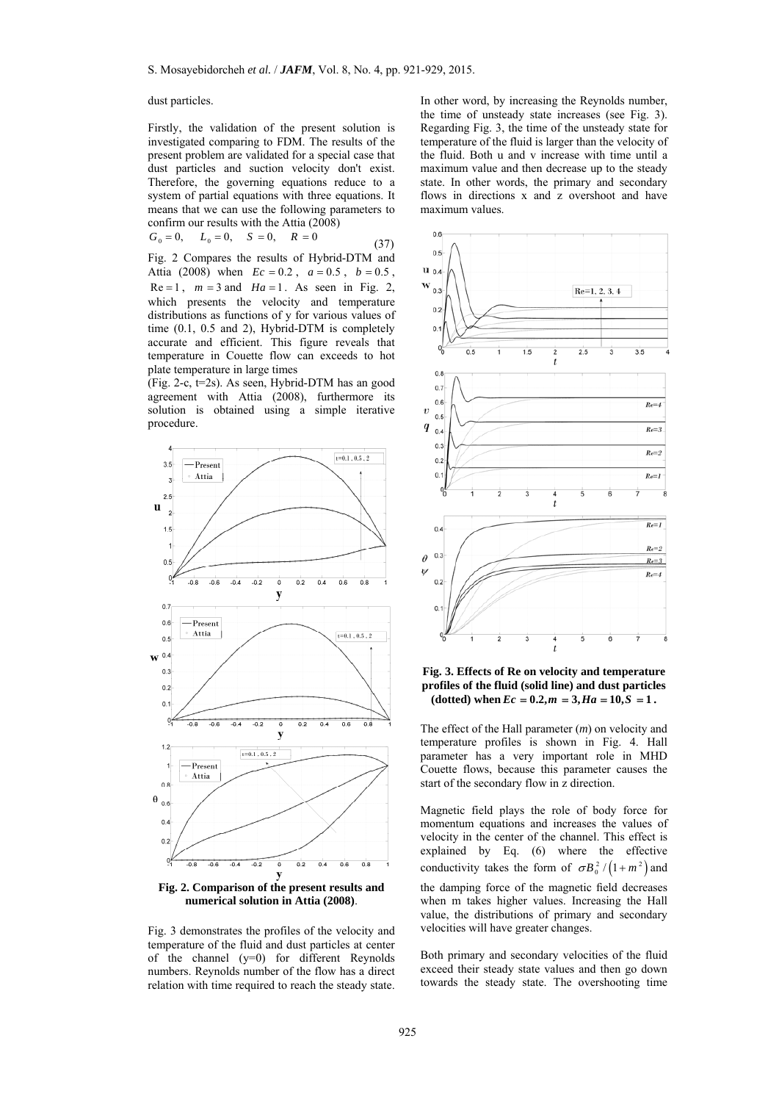#### dust particles.

Firstly, the validation of the present solution is investigated comparing to FDM. The results of the present problem are validated for a special case that dust particles and suction velocity don't exist. Therefore, the governing equations reduce to a system of partial equations with three equations. It means that we can use the following parameters to confirm our results with the Attia (2008)

$$
G_0 = 0
$$
,  $L_0 = 0$ ,  $S = 0$ ,  $R = 0$  (37)

Fig. 2 Compares the results of Hybrid-DTM and Attia (2008) when  $Ec = 0.2$ ,  $a = 0.5$ ,  $b = 0.5$ ,  $Re = 1$ ,  $m = 3$  and  $Ha = 1$ . As seen in Fig. 2, which presents the velocity and temperature distributions as functions of y for various values of time (0.1, 0.5 and 2), Hybrid-DTM is completely accurate and efficient. This figure reveals that temperature in Couette flow can exceeds to hot plate temperature in large times

 $(Fig. 2-c, t=2s)$ . As seen, Hybrid-DTM has an good agreement with Attia (2008), furthermore its solution is obtained using a simple iterative procedure.



**numerical solution in Attia (2008)**.

Fig. 3 demonstrates the profiles of the velocity and temperature of the fluid and dust particles at center of the channel  $(y=0)$  for different Reynolds numbers. Reynolds number of the flow has a direct relation with time required to reach the steady state.

In other word, by increasing the Reynolds number, the time of unsteady state increases (see Fig. 3). Regarding Fig. 3, the time of the unsteady state for temperature of the fluid is larger than the velocity of the fluid. Both u and v increase with time until a maximum value and then decrease up to the steady state. In other words, the primary and secondary flows in directions  $\overline{x}$  and  $\overline{z}$  overshoot and have maximum values.



**Fig. 3. Effects of Re on velocity and temperature profiles of the fluid (solid line) and dust particles**   $(\text{dotted})$  when  $Ec = 0.2, m = 3, Ha = 10, S = 1$ .

The effect of the Hall parameter (*m*) on velocity and temperature profiles is shown in Fig. 4. Hall parameter has a very important role in MHD Couette flows, because this parameter causes the start of the secondary flow in z direction.

Magnetic field plays the role of body force for momentum equations and increases the values of velocity in the center of the channel. This effect is explained by Eq. (6) where the effective conductivity takes the form of  $\sigma B_0^2 / (1 + m^2)$  and the damping force of the magnetic field decreases when m takes higher values. Increasing the Hall value, the distributions of primary and secondary

Both primary and secondary velocities of the fluid exceed their steady state values and then go down towards the steady state. The overshooting time

velocities will have greater changes.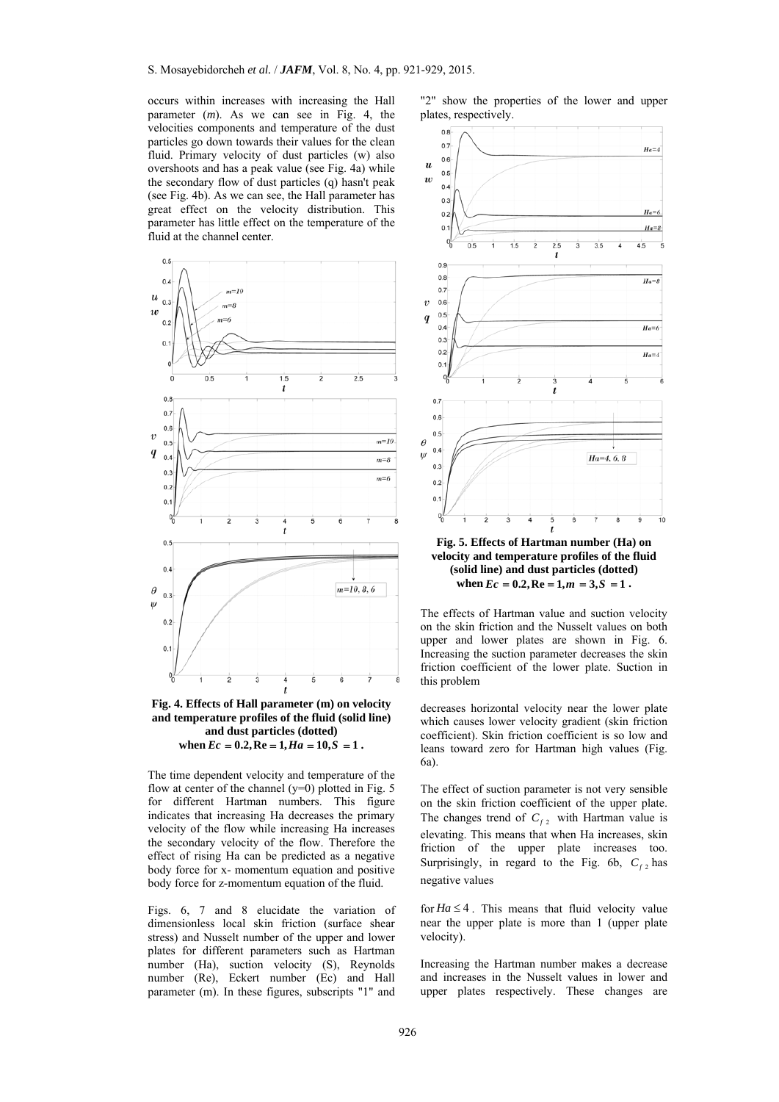occurs within increases with increasing the Hall parameter (*m*). As we can see in Fig. 4, the velocities components and temperature of the dust particles go down towards their values for the clean fluid. Primary velocity of dust particles (w) also overshoots and has a peak value (see Fig. 4a) while the secondary flow of dust particles (q) hasn't peak (see Fig. 4b). As we can see, the Hall parameter has great effect on the velocity distribution. This parameter has little effect on the temperature of the fluid at the channel center.



**Fig. 4. Effects of Hall parameter (m) on velocity and temperature profiles of the fluid (solid line) and dust particles (dotted)**  when  $Ec = 0.2$ ,  $Re = 1$ ,  $Ha = 10$ ,  $S = 1$ .

The time dependent velocity and temperature of the flow at center of the channel  $(y=0)$  plotted in Fig. 5 for different Hartman numbers. This figure indicates that increasing Ha decreases the primary velocity of the flow while increasing Ha increases the secondary velocity of the flow. Therefore the effect of rising Ha can be predicted as a negative body force for x- momentum equation and positive body force for z-momentum equation of the fluid.

Figs. 6, 7 and 8 elucidate the variation of dimensionless local skin friction (surface shear stress) and Nusselt number of the upper and lower plates for different parameters such as Hartman number (Ha), suction velocity (S), Reynolds number (Re), Eckert number (Ec) and Hall parameter (m). In these figures, subscripts "1" and

"2" show the properties of the lower and upper plates, respectively.



**velocity and temperature profiles of the fluid (solid line) and dust particles (dotted)**  when  $Ec = 0.2$ ,  $Re = 1$ ,  $m = 3$ ,  $S = 1$ .

The effects of Hartman value and suction velocity on the skin friction and the Nusselt values on both upper and lower plates are shown in Fig. 6. Increasing the suction parameter decreases the skin friction coefficient of the lower plate. Suction in this problem

decreases horizontal velocity near the lower plate which causes lower velocity gradient (skin friction coefficient). Skin friction coefficient is so low and leans toward zero for Hartman high values (Fig. 6a).

The effect of suction parameter is not very sensible on the skin friction coefficient of the upper plate. The changes trend of  $C_f$  with Hartman value is elevating. This means that when Ha increases, skin friction of the upper plate increases too. Surprisingly, in regard to the Fig. 6b,  $C_f$ , has negative values

for  $Ha \leq 4$ . This means that fluid velocity value near the upper plate is more than 1 (upper plate velocity).

Increasing the Hartman number makes a decrease and increases in the Nusselt values in lower and upper plates respectively. These changes are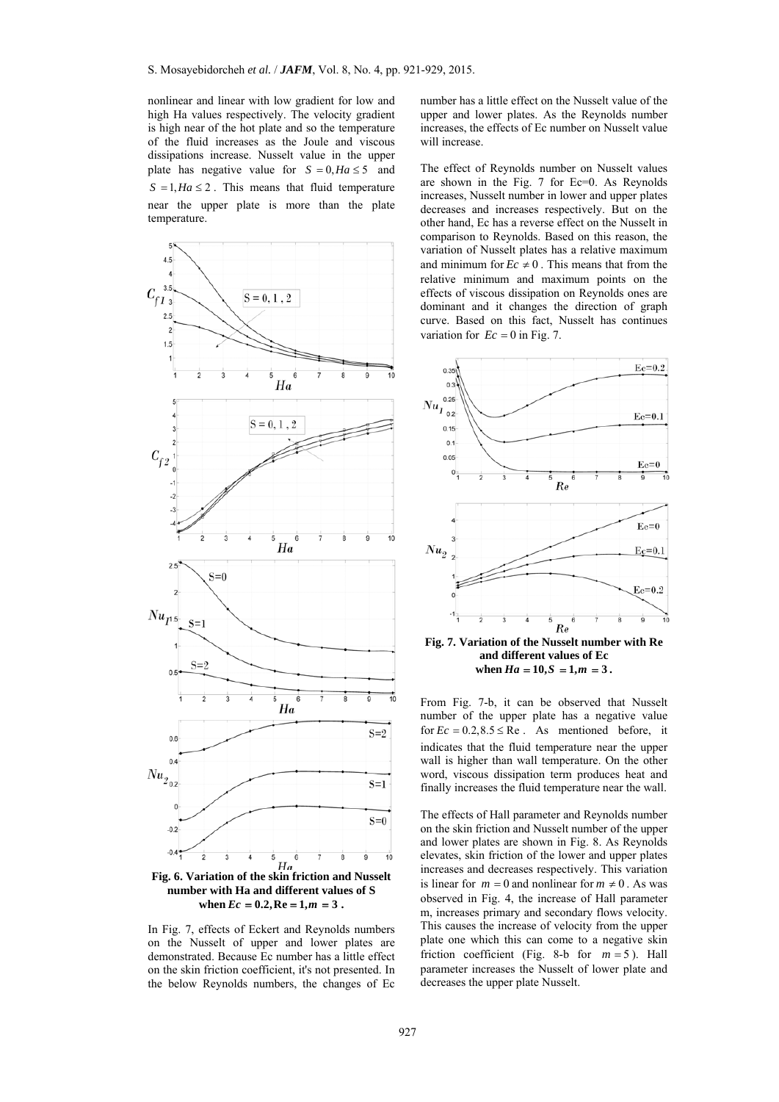nonlinear and linear with low gradient for low and high Ha values respectively. The velocity gradient is high near of the hot plate and so the temperature of the fluid increases as the Joule and viscous dissipations increase. Nusselt value in the upper plate has negative value for  $S = 0, Ha \le 5$  and  $S = 1, Ha \leq 2$ . This means that fluid temperature near the upper plate is more than the plate temperature.



when  $Ec = 0.2$ ,  $Re = 1$ ,  $m = 3$ .

In Fig. 7, effects of Eckert and Reynolds numbers on the Nusselt of upper and lower plates are demonstrated. Because Ec number has a little effect on the skin friction coefficient, it's not presented. In the below Reynolds numbers, the changes of Ec

number has a little effect on the Nusselt value of the upper and lower plates. As the Reynolds number increases, the effects of Ec number on Nusselt value will increase.

The effect of Reynolds number on Nusselt values are shown in the Fig. 7 for Ec=0. As Reynolds increases, Nusselt number in lower and upper plates decreases and increases respectively. But on the other hand, Ec has a reverse effect on the Nusselt in comparison to Reynolds. Based on this reason, the variation of Nusselt plates has a relative maximum and minimum for  $Ec \neq 0$ . This means that from the relative minimum and maximum points on the effects of viscous dissipation on Reynolds ones are dominant and it changes the direction of graph curve. Based on this fact, Nusselt has continues variation for  $Ec = 0$  in Fig. 7.



**and different values of Ec**  when  $Ha = 10, S = 1, m = 3$ .

From Fig. 7-b, it can be observed that Nusselt number of the upper plate has a negative value for  $Ec = 0.2, 8.5 \leq Re$ . As mentioned before, it indicates that the fluid temperature near the upper wall is higher than wall temperature. On the other word, viscous dissipation term produces heat and finally increases the fluid temperature near the wall.

The effects of Hall parameter and Reynolds number on the skin friction and Nusselt number of the upper and lower plates are shown in Fig. 8. As Reynolds elevates, skin friction of the lower and upper plates increases and decreases respectively. This variation is linear for  $m = 0$  and nonlinear for  $m \neq 0$ . As was observed in Fig. 4, the increase of Hall parameter m, increases primary and secondary flows velocity. This causes the increase of velocity from the upper plate one which this can come to a negative skin friction coefficient (Fig. 8-b for  $m = 5$ ). Hall parameter increases the Nusselt of lower plate and decreases the upper plate Nusselt.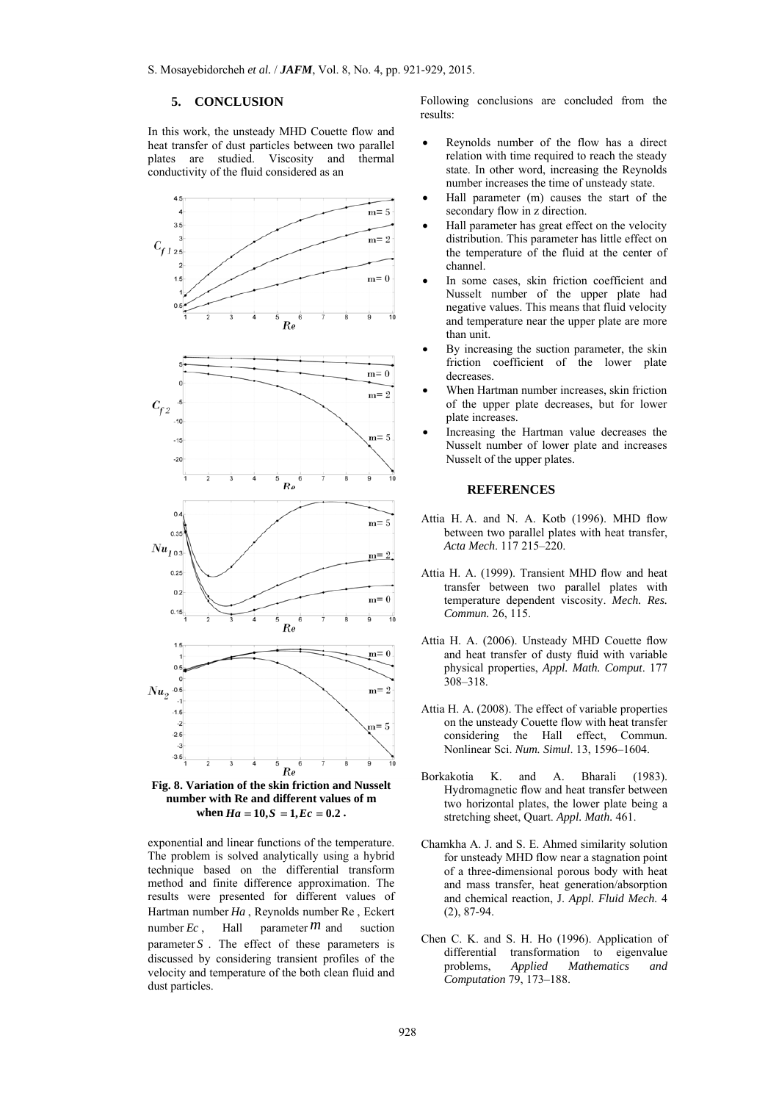## **5. CONCLUSION**

In this work, the unsteady MHD Couette flow and heat transfer of dust particles between two parallel plates are studied. Viscosity and thermal conductivity of the fluid considered as an



**Fig. 8. Variation of the skin friction and Nusselt number with Re and different values of m**  when  $Ha = 10, S = 1, Ec = 0.2$ .

exponential and linear functions of the temperature. The problem is solved analytically using a hybrid technique based on the differential transform method and finite difference approximation. The results were presented for different values of Hartman number *Ha* , Reynolds number Re , Eckert number  $Ec$ , Hall parameter  $m$  and suction parameter *S* . The effect of these parameters is discussed by considering transient profiles of the velocity and temperature of the both clean fluid and dust particles.

Following conclusions are concluded from the results:

- Reynolds number of the flow has a direct relation with time required to reach the steady state. In other word, increasing the Reynolds number increases the time of unsteady state.
- Hall parameter (m) causes the start of the secondary flow in z direction.
- Hall parameter has great effect on the velocity distribution. This parameter has little effect on the temperature of the fluid at the center of channel.
- In some cases, skin friction coefficient and Nusselt number of the upper plate had negative values. This means that fluid velocity and temperature near the upper plate are more than unit.
- By increasing the suction parameter, the skin friction coefficient of the lower plate decreases.
- When Hartman number increases, skin friction of the upper plate decreases, but for lower plate increases.
- Increasing the Hartman value decreases the Nusselt number of lower plate and increases Nusselt of the upper plates.

#### **REFERENCES**

- Attia H. A. and N. A. Kotb (1996). MHD flow between two parallel plates with heat transfer, *Acta Mech*. 117 215–220.
- Attia H. A. (1999). Transient MHD flow and heat transfer between two parallel plates with temperature dependent viscosity. *Mech. Res. Commun.* 26, 115.
- Attia H. A. (2006). Unsteady MHD Couette flow and heat transfer of dusty fluid with variable physical properties, *Appl. Math. Comput*. 177 308–318.
- Attia H. A. (2008). The effect of variable properties on the unsteady Couette flow with heat transfer considering the Hall effect, Commun. Nonlinear Sci. *Num. Simul*. 13, 1596–1604.
- Borkakotia K. and A. Bharali (1983). Hydromagnetic flow and heat transfer between two horizontal plates, the lower plate being a stretching sheet, Quart. *Appl. Math.* 461.
- Chamkha A. J. and S. E. Ahmed similarity solution for unsteady MHD flow near a stagnation point of a three-dimensional porous body with heat and mass transfer, heat generation/absorption and chemical reaction, J. *Appl. Fluid Mech*. 4 (2), 87-94.
- Chen C. K. and S. H. Ho (1996). Application of differential transformation to eigenvalue<br>problems, Applied Mathematics and problems, *Applied Mathematics and Computation* 79, 173–188.